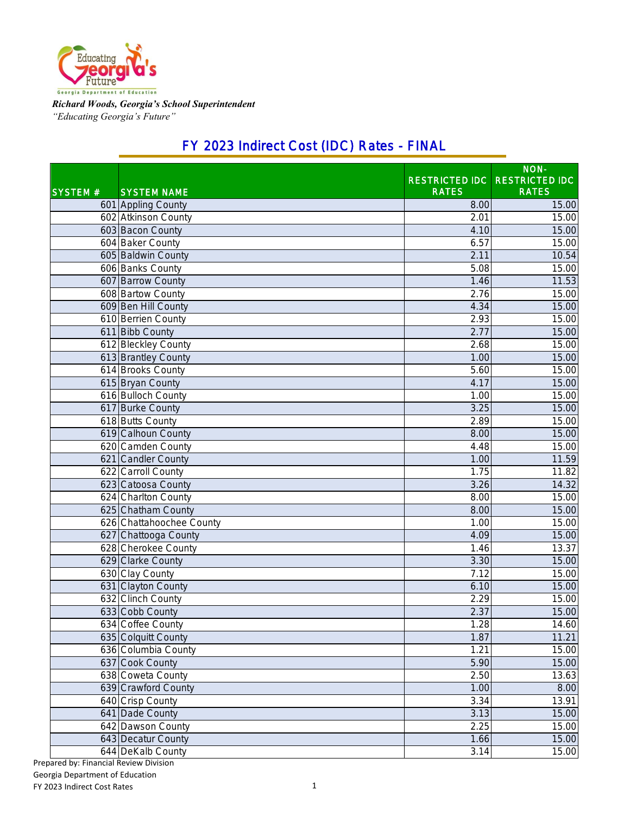

*Richard Woods, Georgia's School Superintendent "Educating Georgia's Future"*

### FY 2023 Indirect Cost (IDC) Rates - FINAL

|                |                          |                       | NON-                  |
|----------------|--------------------------|-----------------------|-----------------------|
|                |                          | <b>RESTRICTED IDC</b> | <b>RESTRICTED IDC</b> |
| <b>SYSTEM#</b> | <b>SYSTEM NAME</b>       | <b>RATES</b>          | <b>RATES</b>          |
|                | 601 Appling County       | 8.00                  | 15.00                 |
|                | 602 Atkinson County      | 2.01                  | 15.00                 |
|                | 603 Bacon County         | 4.10                  | 15.00                 |
|                | 604 Baker County         | 6.57                  | 15.00                 |
|                | 605 Baldwin County       | 2.11                  | 10.54                 |
|                | 606 Banks County         | 5.08                  | 15.00                 |
|                | 607 Barrow County        | 1.46                  | 11.53                 |
|                | 608 Bartow County        | $\overline{2.76}$     | 15.00                 |
|                | 609 Ben Hill County      | 4.34                  | 15.00                 |
|                | 610 Berrien County       | 2.93                  | 15.00                 |
|                | 611 Bibb County          | 2.77                  | 15.00                 |
|                | 612 Bleckley County      | 2.68                  | 15.00                 |
|                | 613 Brantley County      | 1.00                  | 15.00                 |
|                | 614 Brooks County        | 5.60                  | 15.00                 |
|                | 615 Bryan County         | 4.17                  | 15.00                 |
|                | 616 Bulloch County       | 1.00                  | 15.00                 |
|                | 617 Burke County         | 3.25                  | 15.00                 |
|                | 618 Butts County         | 2.89                  | 15.00                 |
|                | 619 Calhoun County       | 8.00                  | 15.00                 |
|                | 620 Camden County        | 4.48                  | 15.00                 |
|                | 621 Candler County       | 1.00                  | 11.59                 |
|                | 622 Carroll County       | 1.75                  | 11.82                 |
|                | 623 Catoosa County       | 3.26                  | 14.32                 |
|                | 624 Charlton County      | 8.00                  | 15.00                 |
|                | 625 Chatham County       | 8.00                  | 15.00                 |
|                | 626 Chattahoochee County | 1.00                  | 15.00                 |
|                | 627 Chattooga County     | 4.09                  | 15.00                 |
|                | 628 Cherokee County      | 1.46                  | 13.37                 |
|                | 629 Clarke County        | 3.30                  | 15.00                 |
|                | 630 Clay County          | 7.12                  | 15.00                 |
|                | 631 Clayton County       | 6.10                  | 15.00                 |
|                | 632 Clinch County        | 2.29                  | 15.00                 |
|                | 633 Cobb County          | 2.37                  | 15.00                 |
|                | 634 Coffee County        | 1.28                  | 14.60                 |
|                | 635 Colquitt County      | 1.87                  | 11.21                 |
|                | 636 Columbia County      | 1.21                  | 15.00                 |
|                | 637 Cook County          | 5.90                  | 15.00                 |
|                | 638 Coweta County        | 2.50                  | 13.63                 |
|                | 639 Crawford County      | 1.00                  | 8.00                  |
|                | 640 Crisp County         | 3.34                  | 13.91                 |
|                | 641 Dade County          | 3.13                  | 15.00                 |
|                | 642 Dawson County        | 2.25                  | 15.00                 |
|                | 643 Decatur County       | 1.66                  | 15.00                 |
|                | 644 DeKalb County        | 3.14                  | 15.00                 |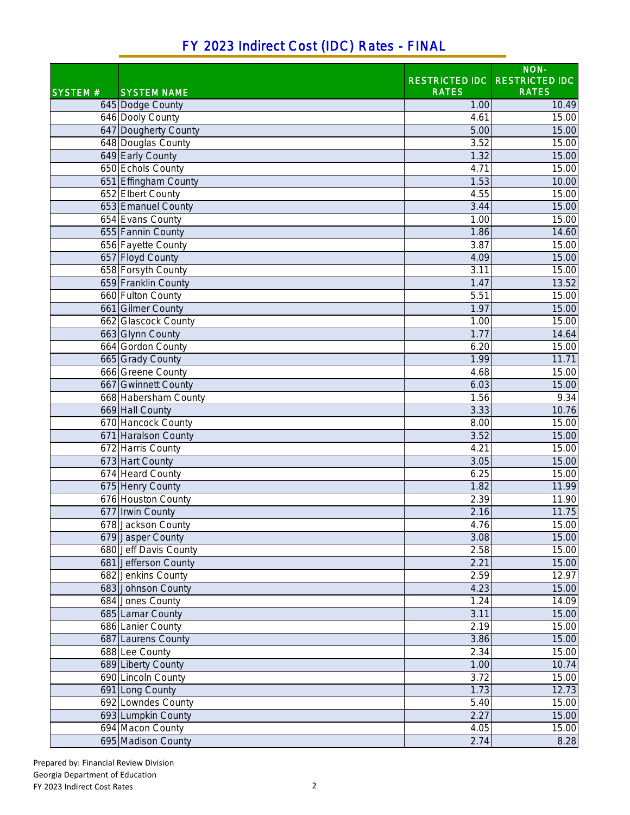# FY 2023 Indirect Cost (IDC) Rates - FINAL

|                |                       |                       | NON-                  |
|----------------|-----------------------|-----------------------|-----------------------|
|                |                       | <b>RESTRICTED IDC</b> | <b>RESTRICTED IDC</b> |
| <b>SYSTEM#</b> | <b>SYSTEM NAME</b>    | <b>RATES</b>          | <b>RATES</b>          |
|                | 645 Dodge County      | 1.00                  | 10.49                 |
|                | 646 Dooly County      | 4.61                  | 15.00                 |
|                | 647 Dougherty County  | 5.00                  | 15.00                 |
|                | 648 Douglas County    | 3.52                  | 15.00                 |
|                | 649 Early County      | 1.32                  | 15.00                 |
|                | 650 Echols County     | 4.71                  | 15.00                 |
|                | 651 Effingham County  | 1.53                  | 10.00                 |
|                | 652 Elbert County     | 4.55                  | 15.00                 |
|                | 653 Emanuel County    | 3.44                  | 15.00                 |
|                | 654 Evans County      | 1.00                  | 15.00                 |
|                | 655 Fannin County     | 1.86                  | 14.60                 |
|                | 656 Fayette County    | 3.87                  | 15.00                 |
|                | 657 Floyd County      | 4.09                  | 15.00                 |
|                | 658 Forsyth County    | 3.11                  | 15.00                 |
|                | 659 Franklin County   | 1.47                  | 13.52                 |
|                | 660 Fulton County     | 5.51                  | 15.00                 |
|                | 661 Gilmer County     | 1.97                  | 15.00                 |
|                | 662 Glascock County   | 1.00                  | 15.00                 |
|                | 663 Glynn County      | 1.77                  | 14.64                 |
|                | 664 Gordon County     | 6.20                  | 15.00                 |
|                | 665 Grady County      | 1.99                  | 11.71                 |
|                | 666 Greene County     | 4.68                  | 15.00                 |
|                | 667 Gwinnett County   | 6.03                  | 15.00                 |
|                | 668 Habersham County  | 1.56                  | 9.34                  |
|                | 669 Hall County       | 3.33                  | 10.76                 |
|                | 670 Hancock County    | 8.00                  | 15.00                 |
|                | 671 Haralson County   | 3.52                  | 15.00                 |
|                | 672 Harris County     | 4.21                  | 15.00                 |
|                | 673 Hart County       | 3.05                  | 15.00                 |
|                | 674 Heard County      | 6.25                  | 15.00                 |
|                | 675 Henry County      | 1.82                  | 11.99                 |
|                | 676 Houston County    | 2.39                  | 11.90                 |
|                | 677 Irwin County      | 2.16                  | 11.75                 |
|                | 678 Jackson County    | 4.76                  | 15.00                 |
|                | 679 Jasper County     | 3.08                  | 15.00                 |
|                | 680 Jeff Davis County | 2.58                  | 15.00                 |
|                | 681 Jefferson County  | 2.21                  | 15.00                 |
|                | 682 Jenkins County    | 2.59                  | 12.97                 |
|                | 683 Johnson County    | 4.23                  | 15.00                 |
|                | 684 Jones County      | 1.24                  | 14.09                 |
|                | 685 Lamar County      | 3.11                  | 15.00                 |
|                | 686 Lanier County     | 2.19                  | 15.00                 |
|                | 687 Laurens County    | 3.86                  | 15.00                 |
|                | 688 Lee County        | 2.34                  | 15.00                 |
|                | 689 Liberty County    | 1.00                  | 10.74                 |
|                | 690 Lincoln County    | 3.72                  | 15.00                 |
|                | 691 Long County       | 1.73                  | 12.73                 |
|                | 692 Lowndes County    | 5.40                  | 15.00                 |
|                | 693 Lumpkin County    | 2.27                  | 15.00                 |
|                | 694 Macon County      | 4.05                  | 15.00                 |
|                | 695 Madison County    | 2.74                  | 8.28                  |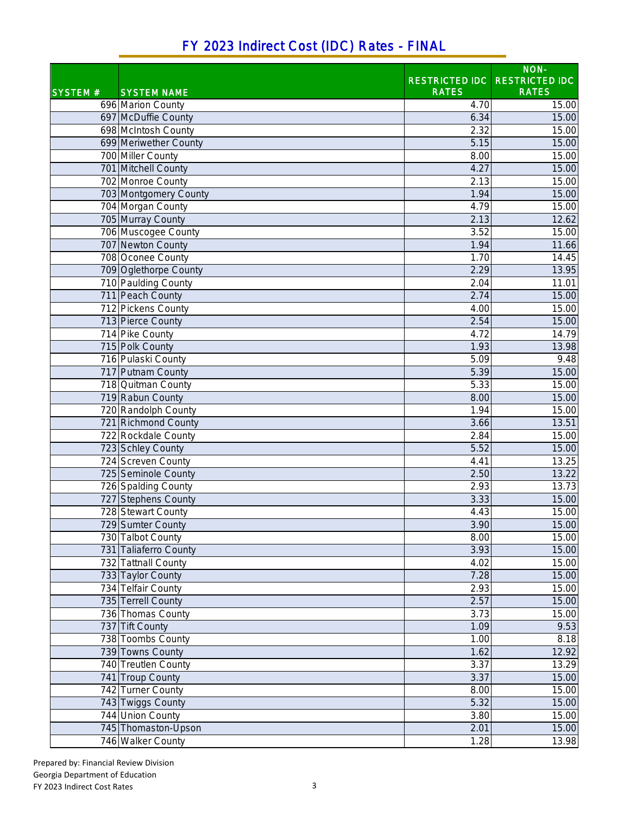#### SYSTEM # SYSTEM NAME RESTRICTED IDC RATES NON-RESTRICTED IDC RATES 696 Marion County 15.00 16.00 16.00 16.00 16.00 16.00 16.00 16.00 16.00 16.00 16.00 16.00 16.00 16.00 16.00 16 697 McDuffie County **6.34** 15.00 698 McIntosh County 2.32 15.00 699 Meriwether County **699 Meriwether County** 6.15 15.00 700 Miller County 8.00 15.00 701 Mitchell County 4.27 15.00 702 Monroe County 2.13 15.00 703 Montgomery County 1.94 15.00 704 Morgan County 15.00 **15.00** 15.00 **15.00** 705 Murray County 2.13 12.62 706 Muscogee County 3.52 15.00 707 Newton County 1.94 11.66 708 Oconee County 1.70 14.45 Top Oglethorpe County **2.29** 13.95 The Paulding County 2.04 11.01 11.01 11.01 11.01 11.01 11.01 11.01 11.01 11.01 11.01 11.01 11.01 11.01 11.01 1 711 Peach County 2.74 15.00 712 Pickens County 4.00 15.00 713 Pierce County 2.54 15.00 714 Pike County **14.79** 14.79 115 Polk County 1.93 13.98<br>
216 Pulaski County 1.93 13.98 13.98 13.98 13.98 13.98 13.98 13.98 13.98 13.98 13.98 13.98 13.98 148 716 Pulaski County 6.48 and 5.09 and 5.09 and 5.09 and 5.09 and 5.09 and 5.09 and 5.09 and 5.09 and 5.09 and 5.09 and 5.09 and 5.09 and 5.09 and 5.09 and 5.09 and 5.09 and 5.09 and 5.09 and 5.09 and 5.09 and 5.09 and 5.09 717 Putnam County **5.39** 15.00 718 Quitman County 5.33 15.00 The Rabun County **8.00** 15.00 **15.00** 15.00 **15.00** 15.00 **15.00** 15.00 **15.00** 15.00 **15.00** 15.00 **15.00** T20 Randolph County 1.94 15.00 T21 Richmond County 2018 13:51 13:51 13:51 13:51 13:51 13:51 13:51 13:51 13:51 13:51 13:51 13:51 13:51 13:51 13:51 13:51 13:51 13:51 13:51 13:51 13:51 13:51 13:51 13:51 13:51 13:51 13:51 13:51 13:51 13:51 13:51 13:51 13:51 722 Rockdale County 2.84 15.00 The State County of the State County of the State County of the State County of the State County of the State County of the State County of the State County of the State County of the State County of the State County of th T24 Screven County **13.25** and 13.25 725 Seminole County 2.50 13.22 T26 Spalding County 2.93 13.73 The stephens County and the stephens County of the stephens County and the stephens of the stephens of the stephens of the stephens of the stephens of the stephens of the stephens of the stephens of the stephens of the ste 728 Stewart County 4.43 15.00 729 Sumter County 3.90 15.00 730 Talbot County **8.00** 15.00 **731** Taliaferro County **15.00** 15.00 732 Tattnall County 4.02 15.00 733 Taylor County 7.28 15.00 734 Telfair County 2.93 15.00 735 Terrell County 2.57 15.00 736 Thomas County 2008 15:00 15:00 15:00 15:00 15:00 15:00 15:00 15:00 15:00 15:00 15:00 15:00 15:00 15:00 15:0 **737 Tift County 1.09 9.53** Toombs County 1.00 8.18<br>
Tags Towns County 1.62 8.18<br>
Tags Towns County 1.62 8.19 **739 Towns County 2.92 1.62** 1.62 Treutlen County **3.37** 13.29 741 Troup County 2008 15.00 November 2008 15.00 November 2008 15.00 November 2008 15.00 November 2008 15.00 No 742 Turner County 8.00 15.00 743 Twiggs County 5.32 15.00 744 Union County 3.80 15.00 745 Thomaston-Upson 2.01 15.00 746 Walker County 1.28 13.98

### FY 2023 Indirect Cost (IDC) Rates - FINAL

Prepared by: Financial Review Division Georgia Department of Education FY 2023 Indirect Cost Rates 3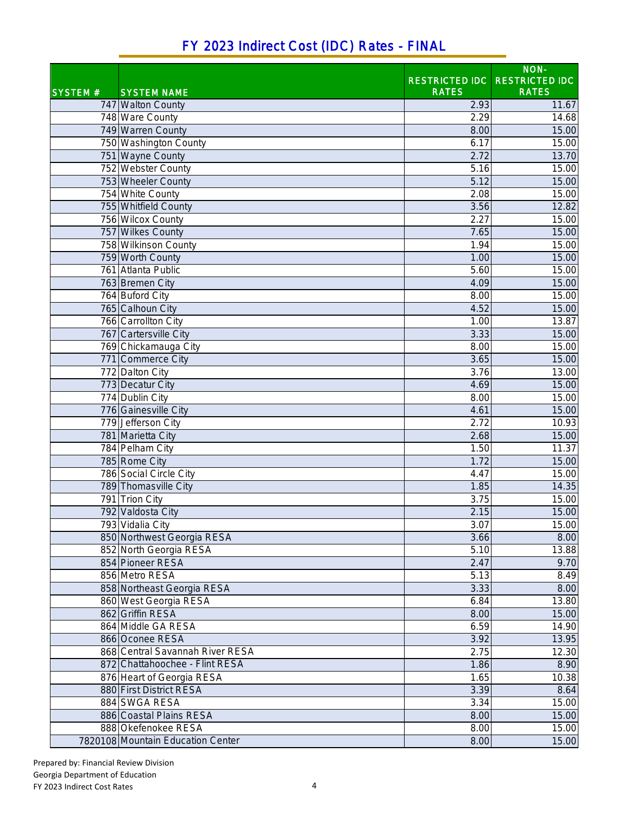| FY 2023 Indirect Cost (IDC) Rates - FINAL |  |
|-------------------------------------------|--|
|-------------------------------------------|--|

|                |                                   |              | NON-                          |
|----------------|-----------------------------------|--------------|-------------------------------|
|                |                                   |              | RESTRICTED IDC RESTRICTED IDC |
| <b>SYSTEM#</b> | <b>SYSTEM NAME</b>                | <b>RATES</b> | <b>RATES</b>                  |
|                | 747 Walton County                 | 2.93         | 11.67                         |
|                | 748 Ware County                   | 2.29         | 14.68                         |
|                | 749 Warren County                 | 8.00         | 15.00                         |
|                | 750 Washington County             | 6.17         | 15.00                         |
|                | 751 Wayne County                  | 2.72         | 13.70                         |
|                | 752 Webster County                | 5.16         | 15.00                         |
|                | 753 Wheeler County                | 5.12         | 15.00                         |
|                | 754 White County                  | 2.08         | 15.00                         |
|                | 755 Whitfield County              | 3.56         | 12.82                         |
|                | 756 Wilcox County                 | 2.27         | 15.00                         |
|                | 757 Wilkes County                 | 7.65         | 15.00                         |
|                | 758 Wilkinson County              | 1.94         | 15.00                         |
|                | 759 Worth County                  | 1.00         | 15.00                         |
|                | 761 Atlanta Public                | 5.60         | 15.00                         |
|                | 763 Bremen City                   | 4.09         | 15.00                         |
|                | 764 Buford City                   | 8.00         | 15.00                         |
|                | 765 Calhoun City                  | 4.52         | 15.00                         |
|                | 766 Carrollton City               | 1.00         | 13.87                         |
|                | 767 Cartersville City             | 3.33         | 15.00                         |
|                | 769 Chickamauga City              | 8.00         | 15.00                         |
|                | 771 Commerce City                 | 3.65         | 15.00                         |
|                | 772 Dalton City                   | 3.76         | 13.00                         |
|                | 773 Decatur City                  | 4.69         | 15.00                         |
|                | 774 Dublin City                   | 8.00         | 15.00                         |
|                | 776 Gainesville City              | 4.61         | 15.00                         |
|                | 779 Jefferson City                | 2.72         | 10.93                         |
|                | 781 Marietta City                 | 2.68         | 15.00                         |
|                | 784 Pelham City                   | 1.50         | 11.37                         |
|                | 785 Rome City                     | 1.72         | 15.00                         |
|                | 786 Social Circle City            | 4.47         | 15.00                         |
|                | 789 Thomasville City              | 1.85         | 14.35                         |
|                | 791 Trion City                    | 3.75         | 15.00                         |
|                | 792 Valdosta City                 | 2.15         | 15.00                         |
|                | 793 Vidalia City                  | 3.07         | 15.00                         |
|                | 850 Northwest Georgia RESA        | 3.66         | 8.00                          |
|                | 852 North Georgia RESA            | 5.10         | 13.88                         |
|                | 854 Pioneer RESA                  | 2.47         | 9.70                          |
|                | 856 Metro RESA                    | 5.13         | 8.49                          |
|                | 858 Northeast Georgia RESA        | 3.33         | 8.00                          |
|                | 860 West Georgia RESA             | 6.84         | 13.80                         |
|                | 862 Griffin RESA                  | 8.00         | 15.00                         |
|                | 864 Middle GA RESA                | 6.59         | 14.90                         |
|                | 866 Oconee RESA                   | 3.92         | 13.95                         |
|                | 868 Central Savannah River RESA   | 2.75         | 12.30                         |
|                | 872 Chattahoochee - Flint RESA    | 1.86         | 8.90                          |
|                | 876 Heart of Georgia RESA         | 1.65         | 10.38                         |
|                | 880 First District RESA           | 3.39         | 8.64                          |
|                | 884 SWGA RESA                     | 3.34         | 15.00                         |
|                | 886 Coastal Plains RESA           |              |                               |
|                |                                   | 8.00         | 15.00                         |
|                | 888 Okefenokee RESA               | 8.00         | 15.00                         |
|                | 7820108 Mountain Education Center | 8.00         | 15.00                         |